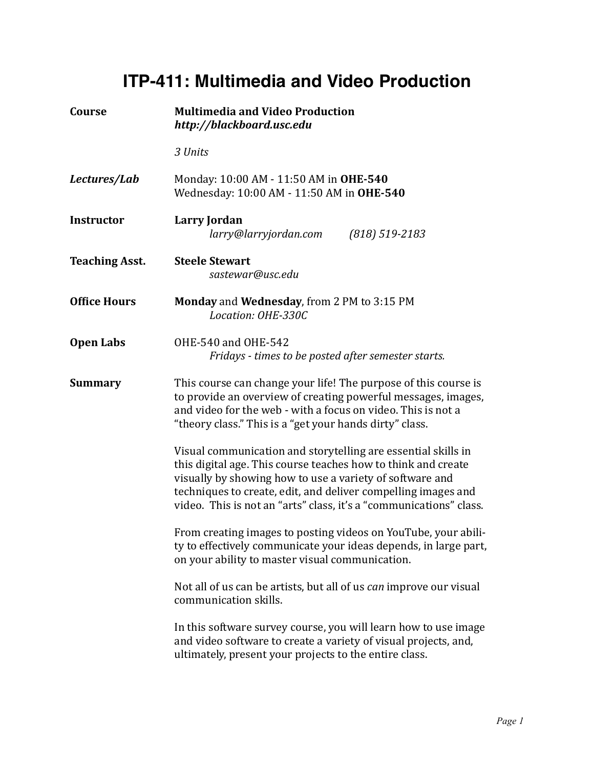## **ITP-411: Multimedia and Video Production**

| Course                | <b>Multimedia and Video Production</b><br>http://blackboard.usc.edu                                                                                                                                                                                                                                                               |
|-----------------------|-----------------------------------------------------------------------------------------------------------------------------------------------------------------------------------------------------------------------------------------------------------------------------------------------------------------------------------|
|                       | 3 Units                                                                                                                                                                                                                                                                                                                           |
| Lectures/Lab          | Monday: 10:00 AM - 11:50 AM in OHE-540<br>Wednesday: 10:00 AM - 11:50 AM in OHE-540                                                                                                                                                                                                                                               |
| <b>Instructor</b>     | Larry Jordan<br>larry@larryjordan.com<br>$(818)$ 519-2183                                                                                                                                                                                                                                                                         |
| <b>Teaching Asst.</b> | <b>Steele Stewart</b><br>sastewar@usc.edu                                                                                                                                                                                                                                                                                         |
| <b>Office Hours</b>   | Monday and Wednesday, from 2 PM to 3:15 PM<br>Location: OHE-330C                                                                                                                                                                                                                                                                  |
| <b>Open Labs</b>      | OHE-540 and OHE-542<br>Fridays - times to be posted after semester starts.                                                                                                                                                                                                                                                        |
| <b>Summary</b>        | This course can change your life! The purpose of this course is<br>to provide an overview of creating powerful messages, images,<br>and video for the web - with a focus on video. This is not a<br>"theory class." This is a "get your hands dirty" class.                                                                       |
|                       | Visual communication and storytelling are essential skills in<br>this digital age. This course teaches how to think and create<br>visually by showing how to use a variety of software and<br>techniques to create, edit, and deliver compelling images and<br>video. This is not an "arts" class, it's a "communications" class. |
|                       | From creating images to posting videos on YouTube, your abili-<br>ty to effectively communicate your ideas depends, in large part,<br>on your ability to master visual communication.                                                                                                                                             |
|                       | Not all of us can be artists, but all of us can improve our visual<br>communication skills.                                                                                                                                                                                                                                       |
|                       | In this software survey course, you will learn how to use image<br>and video software to create a variety of visual projects, and,<br>ultimately, present your projects to the entire class.                                                                                                                                      |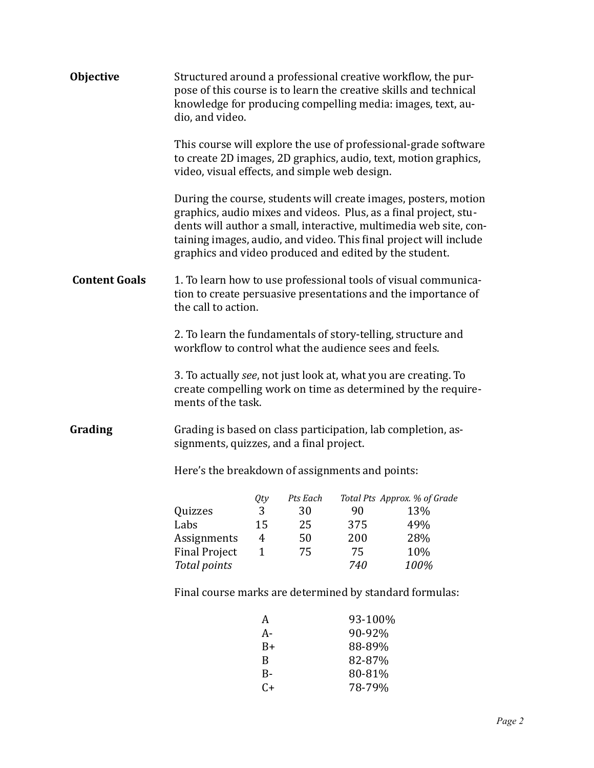| <b>Objective</b>     | Structured around a professional creative workflow, the pur-<br>pose of this course is to learn the creative skills and technical<br>knowledge for producing compelling media: images, text, au-<br>dio, and video. |                |          |         |                                                                                                                                                                                                                                                                               |  |
|----------------------|---------------------------------------------------------------------------------------------------------------------------------------------------------------------------------------------------------------------|----------------|----------|---------|-------------------------------------------------------------------------------------------------------------------------------------------------------------------------------------------------------------------------------------------------------------------------------|--|
|                      | This course will explore the use of professional-grade software<br>to create 2D images, 2D graphics, audio, text, motion graphics,<br>video, visual effects, and simple web design.                                 |                |          |         |                                                                                                                                                                                                                                                                               |  |
|                      | graphics and video produced and edited by the student.                                                                                                                                                              |                |          |         | During the course, students will create images, posters, motion<br>graphics, audio mixes and videos. Plus, as a final project, stu-<br>dents will author a small, interactive, multimedia web site, con-<br>taining images, audio, and video. This final project will include |  |
| <b>Content Goals</b> | 1. To learn how to use professional tools of visual communica-<br>tion to create persuasive presentations and the importance of<br>the call to action.                                                              |                |          |         |                                                                                                                                                                                                                                                                               |  |
|                      | workflow to control what the audience sees and feels.                                                                                                                                                               |                |          |         | 2. To learn the fundamentals of story-telling, structure and                                                                                                                                                                                                                  |  |
|                      | ments of the task.                                                                                                                                                                                                  |                |          |         | 3. To actually see, not just look at, what you are creating. To<br>create compelling work on time as determined by the require-                                                                                                                                               |  |
| Grading              | signments, quizzes, and a final project.                                                                                                                                                                            |                |          |         | Grading is based on class participation, lab completion, as-                                                                                                                                                                                                                  |  |
|                      | Here's the breakdown of assignments and points:                                                                                                                                                                     |                |          |         |                                                                                                                                                                                                                                                                               |  |
|                      |                                                                                                                                                                                                                     | Qty            | Pts Each |         | Total Pts Approx. % of Grade                                                                                                                                                                                                                                                  |  |
|                      | Quizzes                                                                                                                                                                                                             | 3              | 30       | 90      | 13%                                                                                                                                                                                                                                                                           |  |
|                      | Labs                                                                                                                                                                                                                | 15             | 25       | 375     | 49%                                                                                                                                                                                                                                                                           |  |
|                      | Assignments                                                                                                                                                                                                         | $\overline{4}$ | 50       | 200     | 28%                                                                                                                                                                                                                                                                           |  |
|                      | <b>Final Project</b>                                                                                                                                                                                                | $\mathbf{1}$   | 75       | 75      | 10%                                                                                                                                                                                                                                                                           |  |
|                      | <b>Total points</b>                                                                                                                                                                                                 |                |          | 740     | 100%                                                                                                                                                                                                                                                                          |  |
|                      | Final course marks are determined by standard formulas:                                                                                                                                                             |                |          |         |                                                                                                                                                                                                                                                                               |  |
|                      |                                                                                                                                                                                                                     | A              |          | 93-100% |                                                                                                                                                                                                                                                                               |  |
|                      |                                                                                                                                                                                                                     | $A-$           |          | 90-92%  |                                                                                                                                                                                                                                                                               |  |
|                      |                                                                                                                                                                                                                     | $B+$           |          | 88-89%  |                                                                                                                                                                                                                                                                               |  |
|                      |                                                                                                                                                                                                                     | B              |          | 82-87%  |                                                                                                                                                                                                                                                                               |  |
|                      |                                                                                                                                                                                                                     | $B -$          |          | 80-81%  |                                                                                                                                                                                                                                                                               |  |
|                      |                                                                                                                                                                                                                     | $C+$           |          | 78-79%  |                                                                                                                                                                                                                                                                               |  |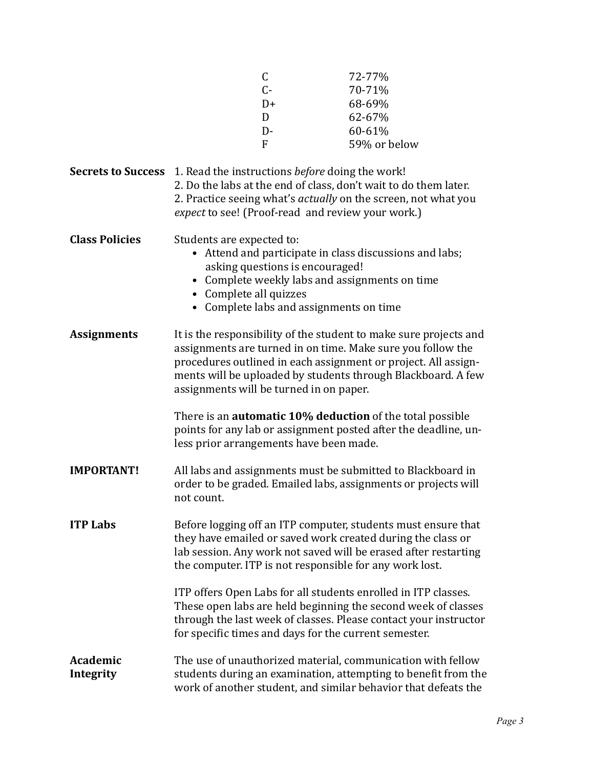|                                                                                  |                                                                                                                                                                                                                                                                                                               | $\mathsf C$                                                                | 72-77%                                                                                                                                                                                                                                                     |
|----------------------------------------------------------------------------------|---------------------------------------------------------------------------------------------------------------------------------------------------------------------------------------------------------------------------------------------------------------------------------------------------------------|----------------------------------------------------------------------------|------------------------------------------------------------------------------------------------------------------------------------------------------------------------------------------------------------------------------------------------------------|
|                                                                                  |                                                                                                                                                                                                                                                                                                               | $C -$                                                                      | 70-71%                                                                                                                                                                                                                                                     |
|                                                                                  |                                                                                                                                                                                                                                                                                                               | $D+$                                                                       | 68-69%                                                                                                                                                                                                                                                     |
|                                                                                  |                                                                                                                                                                                                                                                                                                               | D                                                                          | 62-67%                                                                                                                                                                                                                                                     |
|                                                                                  |                                                                                                                                                                                                                                                                                                               | $D -$                                                                      | 60-61%                                                                                                                                                                                                                                                     |
|                                                                                  |                                                                                                                                                                                                                                                                                                               | $\mathbf{F}$                                                               | 59% or below                                                                                                                                                                                                                                               |
| <b>Secrets to Success</b> 1. Read the instructions <i>before</i> doing the work! |                                                                                                                                                                                                                                                                                                               | expect to see! (Proof-read and review your work.)                          | 2. Do the labs at the end of class, don't wait to do them later.<br>2. Practice seeing what's <i>actually</i> on the screen, not what you                                                                                                                  |
| <b>Class Policies</b>                                                            | Students are expected to:<br>• Complete all quizzes                                                                                                                                                                                                                                                           | asking questions is encouraged!<br>• Complete labs and assignments on time | • Attend and participate in class discussions and labs;<br>• Complete weekly labs and assignments on time                                                                                                                                                  |
| <b>Assignments</b>                                                               | It is the responsibility of the student to make sure projects and<br>assignments are turned in on time. Make sure you follow the<br>procedures outlined in each assignment or project. All assign-<br>ments will be uploaded by students through Blackboard. A few<br>assignments will be turned in on paper. |                                                                            |                                                                                                                                                                                                                                                            |
|                                                                                  |                                                                                                                                                                                                                                                                                                               | less prior arrangements have been made.                                    | There is an <b>automatic 10% deduction</b> of the total possible<br>points for any lab or assignment posted after the deadline, un-                                                                                                                        |
| <b>IMPORTANT!</b>                                                                | not count.                                                                                                                                                                                                                                                                                                    |                                                                            | All labs and assignments must be submitted to Blackboard in<br>order to be graded. Emailed labs, assignments or projects will                                                                                                                              |
| <b>ITP Labs</b>                                                                  |                                                                                                                                                                                                                                                                                                               |                                                                            | Before logging off an ITP computer, students must ensure that<br>they have emailed or saved work created during the class or<br>lab session. Any work not saved will be erased after restarting<br>the computer. ITP is not responsible for any work lost. |
|                                                                                  |                                                                                                                                                                                                                                                                                                               | for specific times and days for the current semester.                      | ITP offers Open Labs for all students enrolled in ITP classes.<br>These open labs are held beginning the second week of classes<br>through the last week of classes. Please contact your instructor                                                        |
| Academic<br>Integrity                                                            |                                                                                                                                                                                                                                                                                                               |                                                                            | The use of unauthorized material, communication with fellow<br>students during an examination, attempting to benefit from the<br>work of another student, and similar behavior that defeats the                                                            |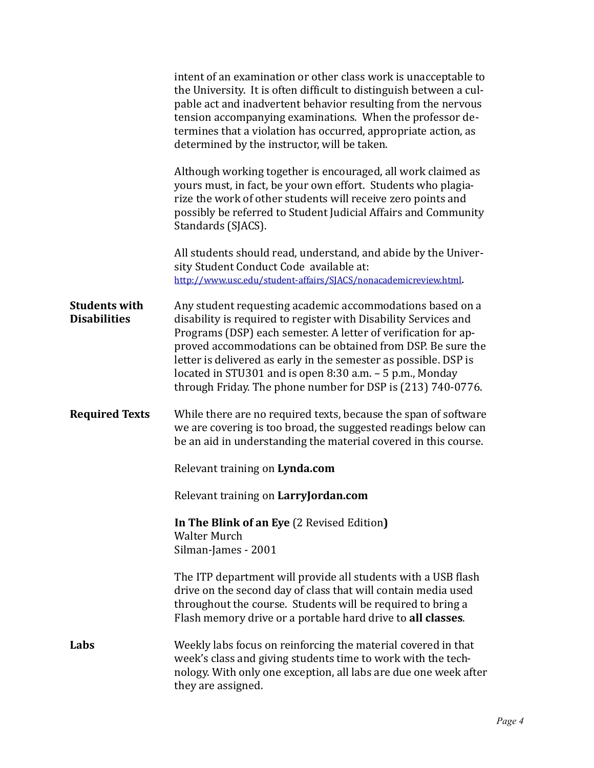|                                             | intent of an examination or other class work is unacceptable to<br>the University. It is often difficult to distinguish between a cul-<br>pable act and inadvertent behavior resulting from the nervous<br>tension accompanying examinations. When the professor de-<br>termines that a violation has occurred, appropriate action, as<br>determined by the instructor, will be taken.                                                                       |
|---------------------------------------------|--------------------------------------------------------------------------------------------------------------------------------------------------------------------------------------------------------------------------------------------------------------------------------------------------------------------------------------------------------------------------------------------------------------------------------------------------------------|
|                                             | Although working together is encouraged, all work claimed as<br>yours must, in fact, be your own effort. Students who plagia-<br>rize the work of other students will receive zero points and<br>possibly be referred to Student Judicial Affairs and Community<br>Standards (SJACS).                                                                                                                                                                        |
|                                             | All students should read, understand, and abide by the Univer-<br>sity Student Conduct Code available at:<br>http://www.usc.edu/student-affairs/SJACS/nonacademicreview.html.                                                                                                                                                                                                                                                                                |
| <b>Students with</b><br><b>Disabilities</b> | Any student requesting academic accommodations based on a<br>disability is required to register with Disability Services and<br>Programs (DSP) each semester. A letter of verification for ap-<br>proved accommodations can be obtained from DSP. Be sure the<br>letter is delivered as early in the semester as possible. DSP is<br>located in STU301 and is open 8:30 a.m. - 5 p.m., Monday<br>through Friday. The phone number for DSP is (213) 740-0776. |
| <b>Required Texts</b>                       | While there are no required texts, because the span of software<br>we are covering is too broad, the suggested readings below can<br>be an aid in understanding the material covered in this course.                                                                                                                                                                                                                                                         |
|                                             | Relevant training on Lynda.com                                                                                                                                                                                                                                                                                                                                                                                                                               |
|                                             | Relevant training on LarryJordan.com                                                                                                                                                                                                                                                                                                                                                                                                                         |
|                                             | In The Blink of an Eye (2 Revised Edition)<br><b>Walter Murch</b><br>Silman-James - 2001                                                                                                                                                                                                                                                                                                                                                                     |
|                                             | The ITP department will provide all students with a USB flash<br>drive on the second day of class that will contain media used<br>throughout the course. Students will be required to bring a<br>Flash memory drive or a portable hard drive to all classes.                                                                                                                                                                                                 |
| Labs                                        | Weekly labs focus on reinforcing the material covered in that<br>week's class and giving students time to work with the tech-<br>nology. With only one exception, all labs are due one week after<br>they are assigned.                                                                                                                                                                                                                                      |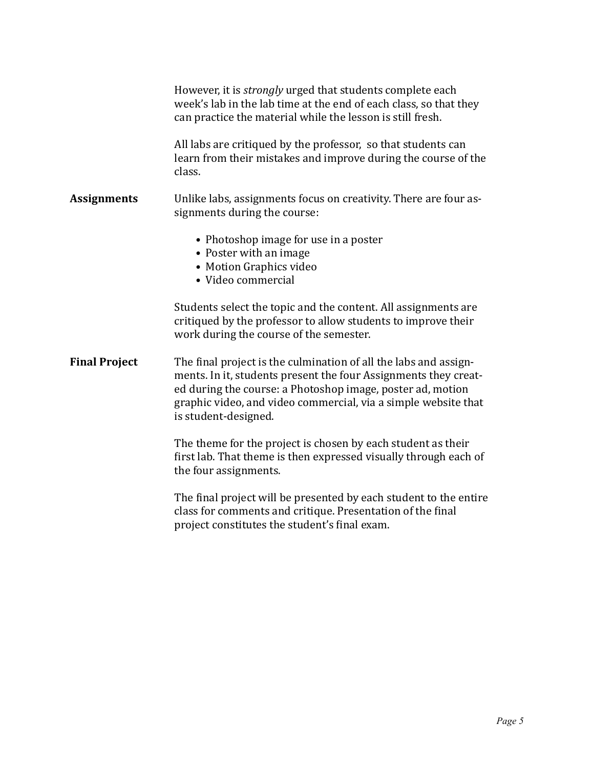|                      | However, it is <i>strongly</i> urged that students complete each<br>week's lab in the lab time at the end of each class, so that they<br>can practice the material while the lesson is still fresh.                                                                                         |
|----------------------|---------------------------------------------------------------------------------------------------------------------------------------------------------------------------------------------------------------------------------------------------------------------------------------------|
|                      | All labs are critiqued by the professor, so that students can<br>learn from their mistakes and improve during the course of the<br>class.                                                                                                                                                   |
| <b>Assignments</b>   | Unlike labs, assignments focus on creativity. There are four as-<br>signments during the course:                                                                                                                                                                                            |
|                      | • Photoshop image for use in a poster<br>• Poster with an image<br>• Motion Graphics video<br>• Video commercial                                                                                                                                                                            |
|                      | Students select the topic and the content. All assignments are<br>critiqued by the professor to allow students to improve their<br>work during the course of the semester.                                                                                                                  |
| <b>Final Project</b> | The final project is the culmination of all the labs and assign-<br>ments. In it, students present the four Assignments they creat-<br>ed during the course: a Photoshop image, poster ad, motion<br>graphic video, and video commercial, via a simple website that<br>is student-designed. |
|                      | The theme for the project is chosen by each student as their<br>first lab. That theme is then expressed visually through each of                                                                                                                                                            |

the four assignments.

The final project will be presented by each student to the entire class for comments and critique. Presentation of the final project constitutes the student's final exam.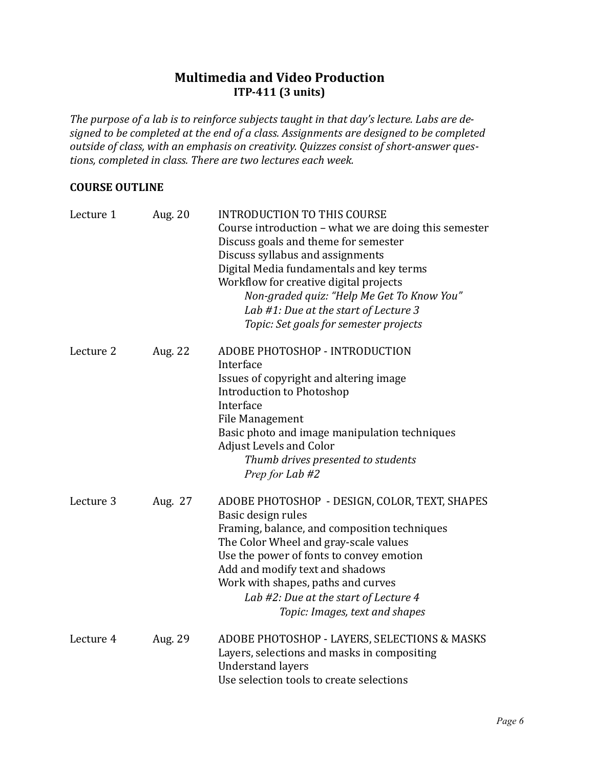## **Multimedia and Video Production ITP-411** (3 units)

The purpose of a lab is to reinforce subjects taught in that day's lecture. Labs are designed to be completed at the end of a class. Assignments are designed to be completed *outside of class, with an emphasis on creativity. Quizzes consist of short-answer ques*tions, completed in class. There are two lectures each week.

## **COURSE OUTLINE**

| Lecture 1 | Aug. 20 | <b>INTRODUCTION TO THIS COURSE</b><br>Course introduction – what we are doing this semester<br>Discuss goals and theme for semester<br>Discuss syllabus and assignments<br>Digital Media fundamentals and key terms<br>Workflow for creative digital projects<br>Non-graded quiz: "Help Me Get To Know You"<br>Lab #1: Due at the start of Lecture 3<br>Topic: Set goals for semester projects |
|-----------|---------|------------------------------------------------------------------------------------------------------------------------------------------------------------------------------------------------------------------------------------------------------------------------------------------------------------------------------------------------------------------------------------------------|
| Lecture 2 | Aug. 22 | ADOBE PHOTOSHOP - INTRODUCTION<br>Interface<br>Issues of copyright and altering image<br><b>Introduction to Photoshop</b><br>Interface<br>File Management<br>Basic photo and image manipulation techniques<br><b>Adjust Levels and Color</b><br>Thumb drives presented to students<br>Prep for Lab #2                                                                                          |
| Lecture 3 | Aug. 27 | ADOBE PHOTOSHOP - DESIGN, COLOR, TEXT, SHAPES<br>Basic design rules<br>Framing, balance, and composition techniques<br>The Color Wheel and gray-scale values<br>Use the power of fonts to convey emotion<br>Add and modify text and shadows<br>Work with shapes, paths and curves<br>Lab #2: Due at the start of Lecture 4<br>Topic: Images, text and shapes                                   |
| Lecture 4 | Aug. 29 | ADOBE PHOTOSHOP - LAYERS, SELECTIONS & MASKS<br>Layers, selections and masks in compositing<br><b>Understand layers</b><br>Use selection tools to create selections                                                                                                                                                                                                                            |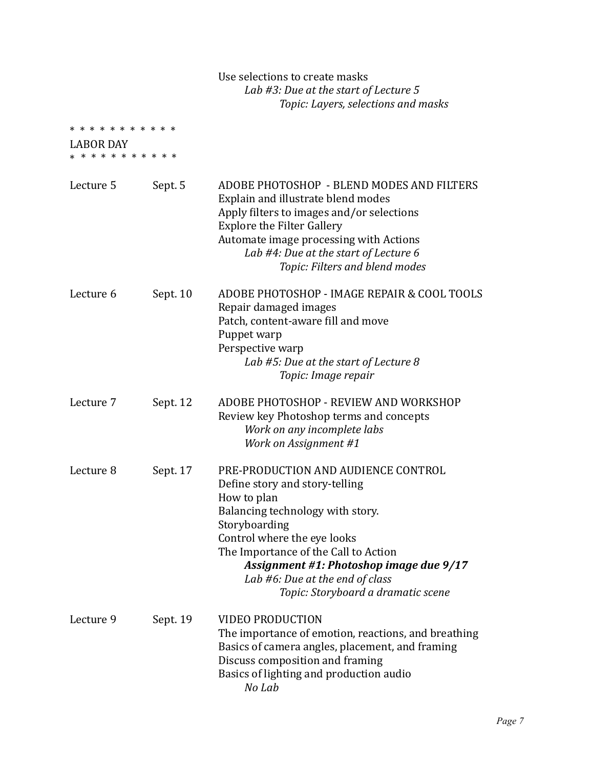## Use selections to create masks *Lab #3: Due at the start of Lecture 5* Topic: Layers, selections and masks

| * * * * * * * * * * *<br>LABOR DAY<br>* * * * * * * * * * * |          |                                                                                                                                                                                                                                                                                                                                             |
|-------------------------------------------------------------|----------|---------------------------------------------------------------------------------------------------------------------------------------------------------------------------------------------------------------------------------------------------------------------------------------------------------------------------------------------|
| Lecture 5                                                   | Sept. 5  | ADOBE PHOTOSHOP - BLEND MODES AND FILTERS<br>Explain and illustrate blend modes<br>Apply filters to images and/or selections<br><b>Explore the Filter Gallery</b><br>Automate image processing with Actions<br>Lab #4: Due at the start of Lecture 6<br>Topic: Filters and blend modes                                                      |
| Lecture 6                                                   | Sept. 10 | ADOBE PHOTOSHOP - IMAGE REPAIR & COOL TOOLS<br>Repair damaged images<br>Patch, content-aware fill and move<br>Puppet warp<br>Perspective warp<br>Lab #5: Due at the start of Lecture 8<br>Topic: Image repair                                                                                                                               |
| Lecture 7                                                   | Sept. 12 | ADOBE PHOTOSHOP - REVIEW AND WORKSHOP<br>Review key Photoshop terms and concepts<br>Work on any incomplete labs<br>Work on Assignment #1                                                                                                                                                                                                    |
| Lecture 8                                                   | Sept. 17 | PRE-PRODUCTION AND AUDIENCE CONTROL<br>Define story and story-telling<br>How to plan<br>Balancing technology with story.<br>Storyboarding<br>Control where the eye looks<br>The Importance of the Call to Action<br><b>Assignment #1: Photoshop image due 9/17</b><br>Lab #6: Due at the end of class<br>Topic: Storyboard a dramatic scene |
| Lecture 9                                                   | Sept. 19 | <b>VIDEO PRODUCTION</b><br>The importance of emotion, reactions, and breathing<br>Basics of camera angles, placement, and framing<br>Discuss composition and framing<br>Basics of lighting and production audio<br>No Lab                                                                                                                   |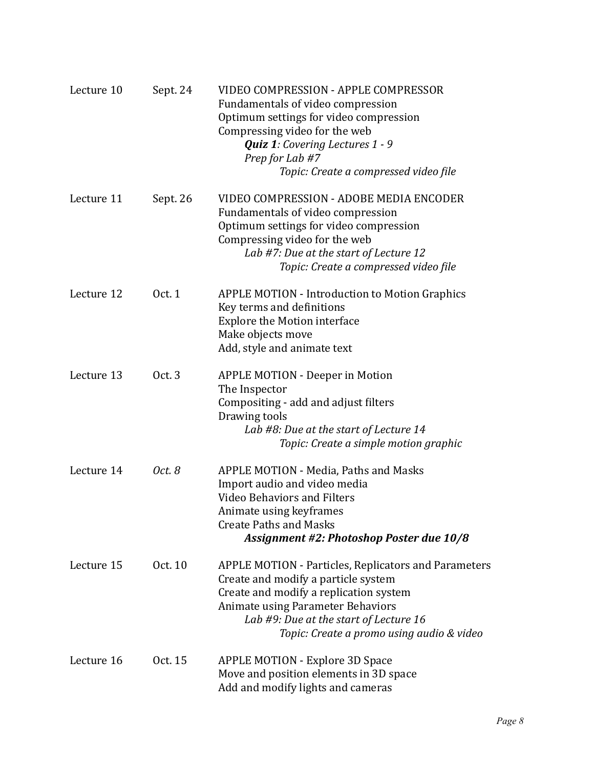| Lecture 10 | Sept. 24 | <b>VIDEO COMPRESSION - APPLE COMPRESSOR</b><br>Fundamentals of video compression<br>Optimum settings for video compression<br>Compressing video for the web<br><b>Quiz 1:</b> Covering Lectures 1 - 9<br>Prep for Lab #7<br>Topic: Create a compressed video file               |
|------------|----------|---------------------------------------------------------------------------------------------------------------------------------------------------------------------------------------------------------------------------------------------------------------------------------|
| Lecture 11 | Sept. 26 | VIDEO COMPRESSION - ADOBE MEDIA ENCODER<br>Fundamentals of video compression<br>Optimum settings for video compression<br>Compressing video for the web<br>Lab #7: Due at the start of Lecture 12<br>Topic: Create a compressed video file                                      |
| Lecture 12 | Oct. 1   | <b>APPLE MOTION - Introduction to Motion Graphics</b><br>Key terms and definitions<br><b>Explore the Motion interface</b><br>Make objects move<br>Add, style and animate text                                                                                                   |
| Lecture 13 | Oct. 3   | <b>APPLE MOTION - Deeper in Motion</b><br>The Inspector<br>Compositing - add and adjust filters<br>Drawing tools<br>Lab #8: Due at the start of Lecture 14<br>Topic: Create a simple motion graphic                                                                             |
| Lecture 14 | Oct. 8   | APPLE MOTION - Media, Paths and Masks<br>Import audio and video media<br><b>Video Behaviors and Filters</b><br>Animate using keyframes<br><b>Create Paths and Masks</b><br><b>Assignment #2: Photoshop Poster due 10/8</b>                                                      |
| Lecture 15 | Oct. 10  | <b>APPLE MOTION - Particles, Replicators and Parameters</b><br>Create and modify a particle system<br>Create and modify a replication system<br><b>Animate using Parameter Behaviors</b><br>Lab #9: Due at the start of Lecture 16<br>Topic: Create a promo using audio & video |
| Lecture 16 | Oct. 15  | <b>APPLE MOTION - Explore 3D Space</b><br>Move and position elements in 3D space<br>Add and modify lights and cameras                                                                                                                                                           |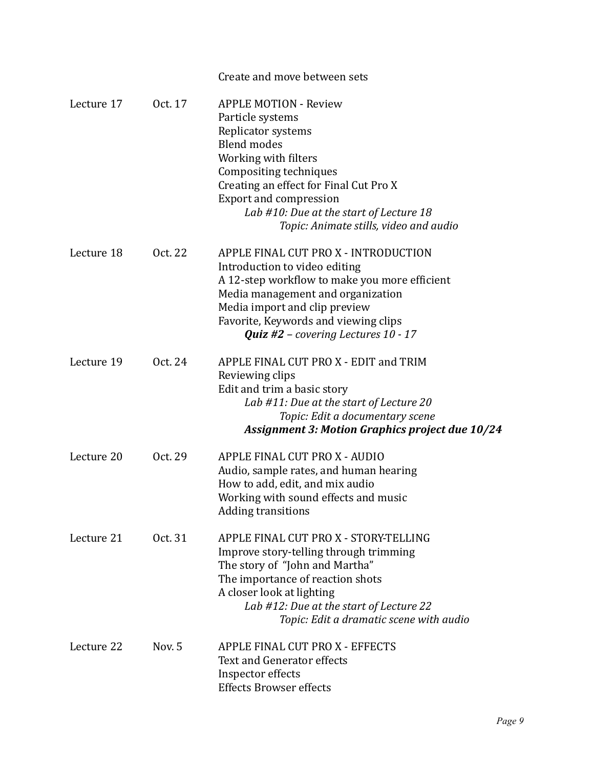|            |         | Create and move between sets                                                                                                                                                                                                                                                                                   |
|------------|---------|----------------------------------------------------------------------------------------------------------------------------------------------------------------------------------------------------------------------------------------------------------------------------------------------------------------|
| Lecture 17 | Oct. 17 | <b>APPLE MOTION - Review</b><br>Particle systems<br>Replicator systems<br><b>Blend modes</b><br>Working with filters<br>Compositing techniques<br>Creating an effect for Final Cut Pro X<br><b>Export and compression</b><br>Lab #10: Due at the start of Lecture 18<br>Topic: Animate stills, video and audio |
| Lecture 18 | Oct. 22 | APPLE FINAL CUT PRO X - INTRODUCTION<br>Introduction to video editing<br>A 12-step workflow to make you more efficient<br>Media management and organization<br>Media import and clip preview<br>Favorite, Keywords and viewing clips<br><b>Quiz</b> #2 – covering Lectures $10 - 17$                           |
| Lecture 19 | Oct. 24 | APPLE FINAL CUT PRO X - EDIT and TRIM<br>Reviewing clips<br>Edit and trim a basic story<br>Lab #11: Due at the start of Lecture 20<br>Topic: Edit a documentary scene<br><b>Assignment 3: Motion Graphics project due 10/24</b>                                                                                |
| Lecture 20 | Oct. 29 | APPLE FINAL CUT PRO X - AUDIO<br>Audio, sample rates, and human hearing<br>How to add, edit, and mix audio<br>Working with sound effects and music<br><b>Adding transitions</b>                                                                                                                                |
| Lecture 21 | Oct. 31 | APPLE FINAL CUT PRO X - STORY-TELLING<br>Improve story-telling through trimming<br>The story of "John and Martha"<br>The importance of reaction shots<br>A closer look at lighting<br>Lab #12: Due at the start of Lecture 22<br>Topic: Edit a dramatic scene with audio                                       |
| Lecture 22 | Nov. 5  | APPLE FINAL CUT PRO X - EFFECTS<br><b>Text and Generator effects</b><br>Inspector effects<br><b>Effects Browser effects</b>                                                                                                                                                                                    |